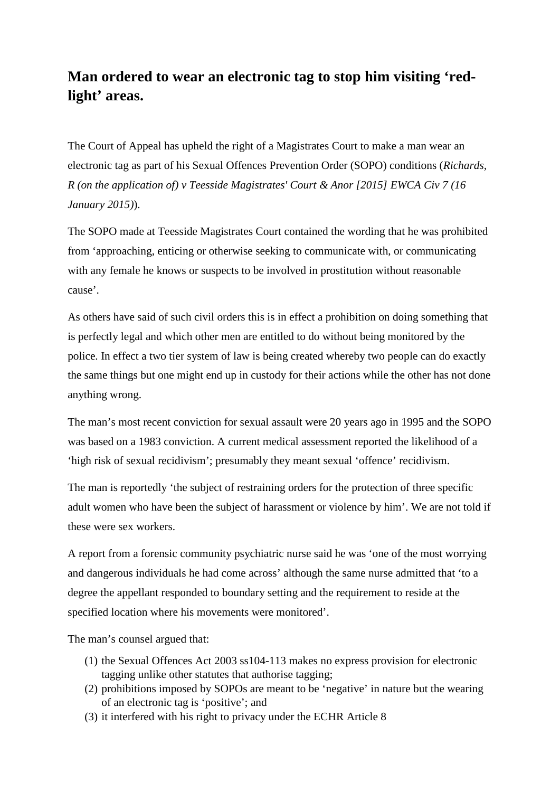## **Man ordered to wear an electronic tag to stop him visiting 'redlight' areas.**

The Court of Appeal has upheld the right of a Magistrates Court to make a man wear an electronic tag as part of his Sexual Offences Prevention Order (SOPO) conditions (*Richards, R (on the application of) v Teesside Magistrates' Court & Anor [2015] EWCA Civ 7 (16 January 2015)*).

The SOPO made at Teesside Magistrates Court contained the wording that he was prohibited from 'approaching, enticing or otherwise seeking to communicate with, or communicating with any female he knows or suspects to be involved in prostitution without reasonable cause'.

As others have said of such civil orders this is in effect a prohibition on doing something that is perfectly legal and which other men are entitled to do without being monitored by the police. In effect a two tier system of law is being created whereby two people can do exactly the same things but one might end up in custody for their actions while the other has not done anything wrong.

The man's most recent conviction for sexual assault were 20 years ago in 1995 and the SOPO was based on a 1983 conviction. A current medical assessment reported the likelihood of a 'high risk of sexual recidivism'; presumably they meant sexual 'offence' recidivism.

The man is reportedly 'the subject of restraining orders for the protection of three specific adult women who have been the subject of harassment or violence by him'. We are not told if these were sex workers.

A report from a forensic community psychiatric nurse said he was 'one of the most worrying and dangerous individuals he had come across' although the same nurse admitted that 'to a degree the appellant responded to boundary setting and the requirement to reside at the specified location where his movements were monitored'.

The man's counsel argued that:

- (1) the Sexual Offences Act 2003 ss104-113 makes no express provision for electronic tagging unlike other statutes that authorise tagging;
- (2) prohibitions imposed by SOPOs are meant to be 'negative' in nature but the wearing of an electronic tag is 'positive'; and
- (3) it interfered with his right to privacy under the ECHR Article 8